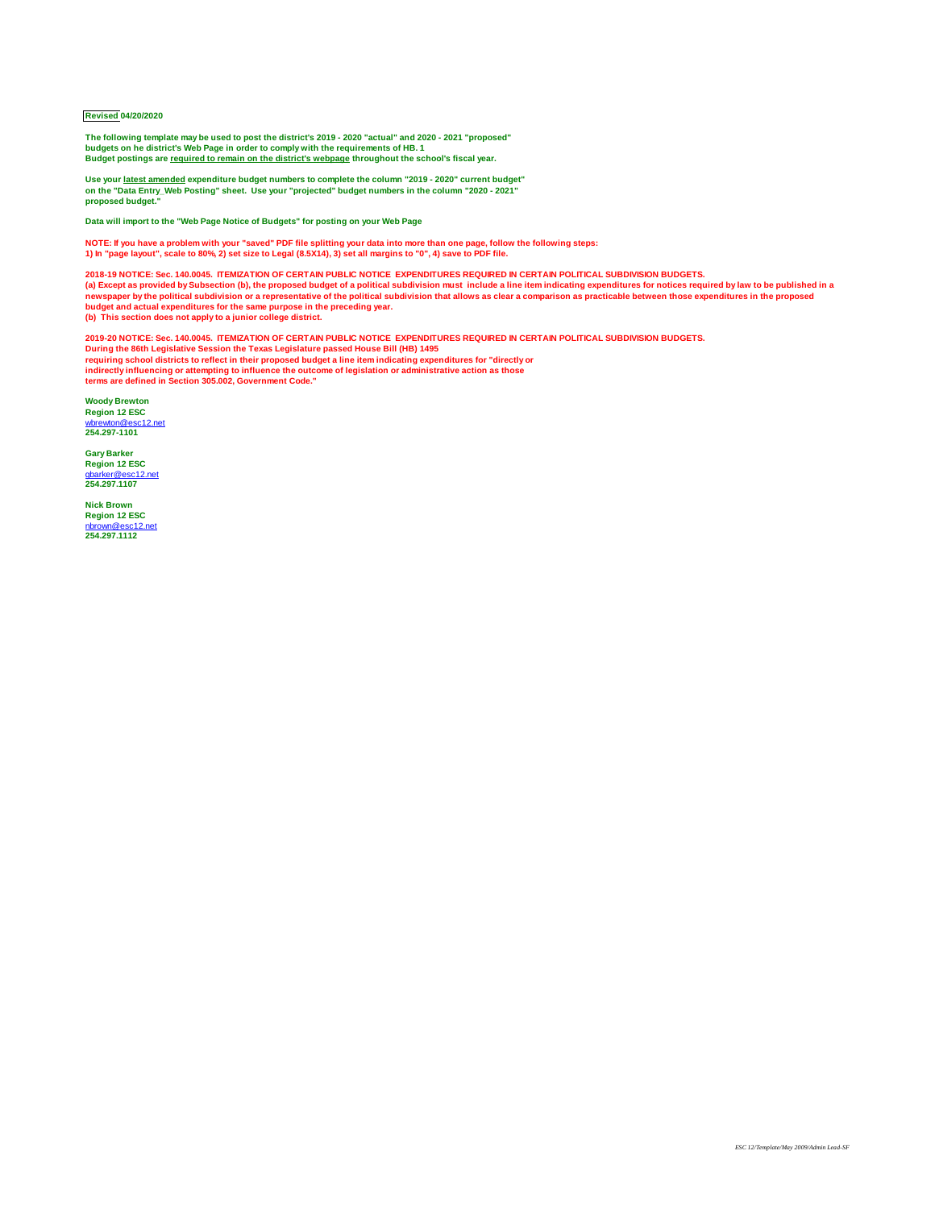## **Revised 04/20/2020**

**The following template may be used to post the district's 2019 - 2020 "actual" and 2020 - 2021 "proposed" budgets on he district's Web Page in order to comply with the requirements of HB. 1 Budget postings are required to remain on the district's webpage throughout the school's fiscal year.**

**Use your latest amended expenditure budget numbers to complete the column "2019 - 2020" current budget" on the "Data Entry\_Web Posting" sheet. Use your "projected" budget numbers in the column "2020 - 2021" proposed budget."**

**Data will import to the "Web Page Notice of Budgets" for posting on your Web Page**

NOTE: If you have a problem with your "saved" PDF file splitting your data into more than one page, follow the following steps:<br>1) In "page layout", scale to 80%, 2) set size to Legal (8.5X14), 3) set all margins to "0", 4

**2018-19 NOTICE: Sec. 140.0045. ITEMIZATION OF CERTAIN PUBLIC NOTICE EXPENDITURES REQUIRED IN CERTAIN POLITICAL SUBDIVISION BUDGETS.**  (a) Except as provided by Subsection (b), the proposed budget of a political subdivision must include a line item indicating expenditures for notices required by law to be published in a<br>newspaper by the political subdivis **(b) This section does not apply to a junior college district.**

**2019-20 NOTICE: Sec. 140.0045. ITEMIZATION OF CERTAIN PUBLIC NOTICE EXPENDITURES REQUIRED IN CERTAIN POLITICAL SUBDIVISION BUDGETS.**  During the 86th Legislative Session the Texas Legislature passed House Bill (HB) 1495<br>requiring school districts to reflect in their proposed budget a line item indicating expenditures for "directly or<br>indirectly influenci

**Woody Brewton Region 12 ESC** [wbrewton@esc12.net](mailto:wbrewton@esc12.net) **254.297-1101**

**Gary Barker Region 12 ESC** [gbarker@esc12.net](mailto:gbarker@esc12.net) **254.297.1107**

**Nick Brown Region 12 ESC** [nbrown@esc12.net](mailto:nbrown@esc12.net) **254.297.1112**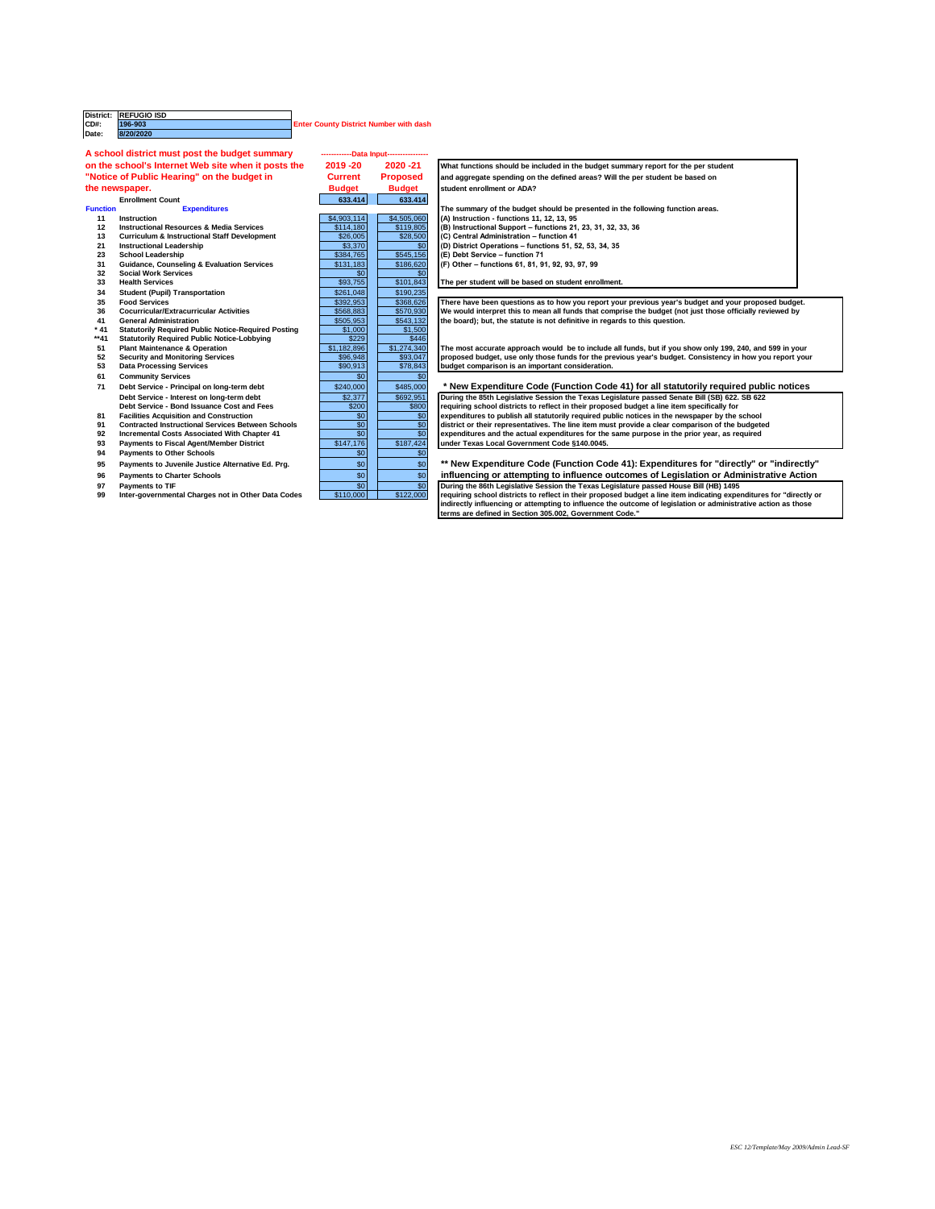|                                    | District: REFUGIO ISD                                                                                                                                                                               |                                               |                 |                                                                                                                |
|------------------------------------|-----------------------------------------------------------------------------------------------------------------------------------------------------------------------------------------------------|-----------------------------------------------|-----------------|----------------------------------------------------------------------------------------------------------------|
| <b>CD#:</b>                        | 196-903<br>8/20/2020                                                                                                                                                                                | <b>Enter County District Number with dash</b> |                 |                                                                                                                |
| Date:                              |                                                                                                                                                                                                     |                                               |                 |                                                                                                                |
|                                    | A school district must post the budget summary                                                                                                                                                      | -Data Input---                                |                 |                                                                                                                |
|                                    | on the school's Internet Web site when it posts the<br>2019-20<br>2020-21                                                                                                                           |                                               |                 | What functions should be included in the budget summary report for the per student                             |
|                                    | "Notice of Public Hearing" on the budget in                                                                                                                                                         | <b>Current</b>                                | <b>Proposed</b> | and aggregate spending on the defined areas? Will the per student be based on                                  |
|                                    | the newspaper.                                                                                                                                                                                      | <b>Budget</b>                                 | <b>Budget</b>   | student enrollment or ADA?                                                                                     |
| 633.414<br><b>Enrollment Count</b> |                                                                                                                                                                                                     |                                               | 633.414         |                                                                                                                |
| <b>Function</b>                    | <b>Expenditures</b>                                                                                                                                                                                 |                                               |                 | The summary of the budget should be presented in the following function areas.                                 |
| 11                                 | Instruction                                                                                                                                                                                         | \$4,903,114                                   | \$4,505,060     | (A) Instruction - functions 11, 12, 13, 95                                                                     |
| 12                                 | <b>Instructional Resources &amp; Media Services</b>                                                                                                                                                 | \$114,180                                     | \$119,805       | (B) Instructional Support - functions 21, 23, 31, 32, 33, 36                                                   |
| 13                                 | <b>Curriculum &amp; Instructional Staff Development</b>                                                                                                                                             | \$26,005                                      | \$28,500        | (C) Central Administration - function 41                                                                       |
| 21                                 | <b>Instructional Leadership</b>                                                                                                                                                                     | \$3,370                                       | \$0             | (D) District Operations - functions 51, 52, 53, 34, 35                                                         |
| 23                                 | <b>School Leadership</b>                                                                                                                                                                            | \$384,765                                     | \$545,156       | (E) Debt Service - function 71                                                                                 |
| 31                                 | <b>Guidance, Counseling &amp; Evaluation Services</b>                                                                                                                                               | \$131,183                                     | \$186,620       | (F) Other - functions 61, 81, 91, 92, 93, 97, 99                                                               |
| 32                                 | <b>Social Work Services</b>                                                                                                                                                                         | \$0                                           | \$0             |                                                                                                                |
| 33                                 | <b>Health Services</b>                                                                                                                                                                              | \$93,755                                      | \$101.843       | The per student will be based on student enrollment.                                                           |
| 34                                 | <b>Student (Pupil) Transportation</b>                                                                                                                                                               | \$261,048                                     | \$190,235       |                                                                                                                |
| 35                                 | <b>Food Services</b>                                                                                                                                                                                | \$392,953                                     | \$368,626       | There have been questions as to how you report your previous year's budget and your proposed budget.           |
| 36                                 | <b>Cocurricular/Extracurricular Activities</b>                                                                                                                                                      | \$568,883                                     | \$570.930       | We would interpret this to mean all funds that comprise the budget (not just those officially reviewed by      |
| 41                                 | <b>General Administration</b>                                                                                                                                                                       | \$505.953                                     | \$543,132       | the board); but, the statute is not definitive in regards to this question.                                    |
| $*41$                              | <b>Statutorily Required Public Notice-Required Posting</b>                                                                                                                                          | \$1,000                                       | \$1,500         |                                                                                                                |
| **41                               | <b>Statutorily Required Public Notice-Lobbying</b>                                                                                                                                                  | \$229                                         | \$446           |                                                                                                                |
| 51                                 | <b>Plant Maintenance &amp; Operation</b>                                                                                                                                                            | \$1,182,896                                   | \$1,274,340     | The most accurate approach would be to include all funds, but if you show only 199, 240, and 599 in your       |
| 52                                 | <b>Security and Monitoring Services</b>                                                                                                                                                             | \$96,948                                      | \$93,047        | proposed budget, use only those funds for the previous year's budget. Consistency in how you report your       |
| 53                                 | <b>Data Processing Services</b>                                                                                                                                                                     | \$90,913                                      | \$78,843        | budget comparison is an important consideration.                                                               |
| 61                                 | <b>Community Services</b>                                                                                                                                                                           | \$0                                           | \$0             |                                                                                                                |
| 71                                 | Debt Service - Principal on long-term debt                                                                                                                                                          | \$240,000                                     | \$485,000       | * New Expenditure Code (Function Code 41) for all statutorily required public notices                          |
|                                    | Debt Service - Interest on long-term debt                                                                                                                                                           | \$2,377                                       | \$692.951       | During the 85th Legislative Session the Texas Legislature passed Senate Bill (SB) 622, SB 622                  |
|                                    | Debt Service - Bond Issuance Cost and Fees                                                                                                                                                          | \$200                                         | \$800           | requiring school districts to reflect in their proposed budget a line item specifically for                    |
| 81                                 | <b>Facilities Acquisition and Construction</b>                                                                                                                                                      | \$0                                           | \$0             | expenditures to publish all statutorily required public notices in the newspaper by the school                 |
| 91                                 | <b>Contracted Instructional Services Between Schools</b>                                                                                                                                            | \$0                                           | \$0             | district or their representatives. The line item must provide a clear comparison of the budgeted               |
| 92                                 | Incremental Costs Associated With Chapter 41                                                                                                                                                        | \$0                                           | \$0             | expenditures and the actual expenditures for the same purpose in the prior year, as required                   |
| 93                                 | <b>Payments to Fiscal Agent/Member District</b>                                                                                                                                                     | \$147,176                                     | \$187,424       | under Texas Local Government Code §140.0045.                                                                   |
| 94                                 | <b>Payments to Other Schools</b>                                                                                                                                                                    | \$0                                           | \$0             |                                                                                                                |
| 95                                 | Payments to Juvenile Justice Alternative Ed. Prg.                                                                                                                                                   | \$0                                           | \$0             | ** New Expenditure Code (Function Code 41): Expenditures for "directly" or "indirectly"                        |
| 96                                 | <b>Payments to Charter Schools</b>                                                                                                                                                                  | \$0                                           | \$0             | influencing or attempting to influence outcomes of Legislation or Administrative Action                        |
| 97                                 | <b>Payments to TIF</b>                                                                                                                                                                              | \$0                                           | \$0             | During the 86th Legislative Session the Texas Legislature passed House Bill (HB) 1495                          |
| 99                                 | \$110,000<br>\$122,000<br>requiring school districts to reflect in their proposed budget a line item indicating expenditures for "directly or<br>Inter-governmental Charges not in Other Data Codes |                                               |                 |                                                                                                                |
|                                    |                                                                                                                                                                                                     |                                               |                 | indirectly influencing or attempting to influence the outcome of legislation or administrative action as those |
|                                    |                                                                                                                                                                                                     |                                               |                 | terms are defined in Section 305.002, Government Code."                                                        |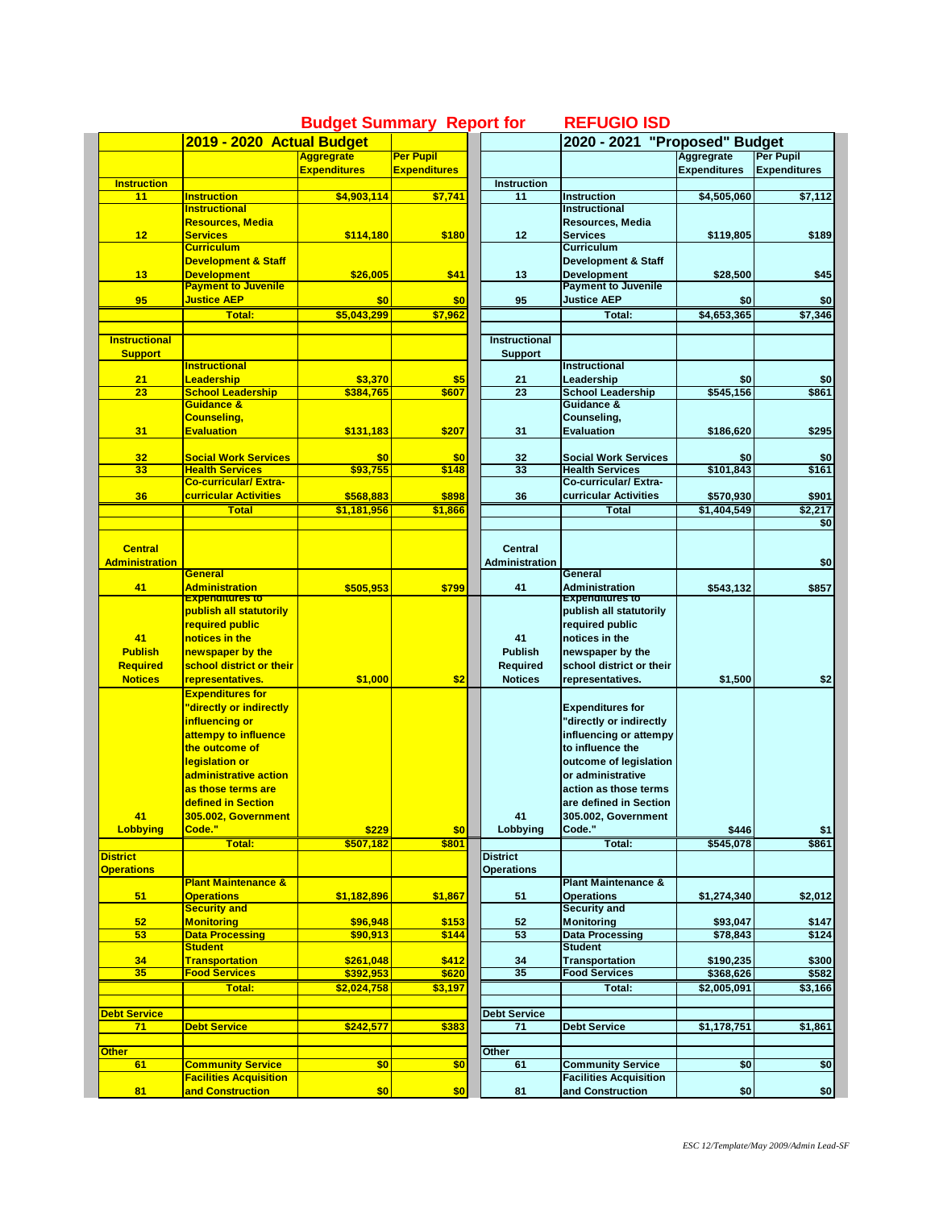|                          | 2019 - 2020 Actual Budget                                 |                     |                     |                          | 2020 - 2021 "Proposed" Budget                             |                     |                     |
|--------------------------|-----------------------------------------------------------|---------------------|---------------------|--------------------------|-----------------------------------------------------------|---------------------|---------------------|
|                          |                                                           | <b>Aggregrate</b>   | <b>Per Pupil</b>    |                          |                                                           | Aggregrate          | <b>Per Pupil</b>    |
|                          |                                                           | <b>Expenditures</b> | <b>Expenditures</b> |                          |                                                           | <b>Expenditures</b> | <b>Expenditures</b> |
| <b>Instruction</b><br>11 | <b>Instruction</b>                                        | \$4,903,114         | \$7,741             | <b>Instruction</b><br>11 | <b>Instruction</b>                                        | \$4,505,060         | \$7,112             |
|                          | <b>Instructional</b>                                      |                     |                     |                          | <b>Instructional</b>                                      |                     |                     |
|                          | Resources, Media                                          |                     |                     |                          | Resources, Media                                          |                     |                     |
| 12                       | <b>Services</b>                                           | \$114,180           | \$180               | 12                       | <b>Services</b>                                           | \$119,805           | \$189               |
|                          | <b>Curriculum</b>                                         |                     |                     |                          | <b>Curriculum</b>                                         |                     |                     |
|                          | <b>Development &amp; Staff</b>                            |                     |                     |                          | <b>Development &amp; Staff</b>                            |                     |                     |
| 13                       | <b>Development</b>                                        | \$26,005            | \$41                | 13                       | <b>Development</b>                                        | \$28,500            | \$45                |
|                          | <b>Payment to Juvenile</b><br><b>Justice AEP</b>          |                     |                     |                          | <b>Payment to Juvenile</b><br><b>Justice AEP</b>          |                     |                     |
| 95                       | <b>Total:</b>                                             | \$0                 | \$0                 | 95                       | Total:                                                    | \$0                 | \$0<br>\$7,346      |
|                          |                                                           | \$5,043,299         | \$7,962             |                          |                                                           | \$4,653,365         |                     |
| <b>Instructional</b>     |                                                           |                     |                     | <b>Instructional</b>     |                                                           |                     |                     |
| <b>Support</b>           |                                                           |                     |                     | Support                  |                                                           |                     |                     |
|                          | <b>Instructional</b>                                      |                     |                     |                          | Instructional                                             |                     |                     |
| 21                       | Leadership                                                | \$3,370             | \$5                 | 21                       | Leadership                                                | \$0                 | \$0                 |
| 23                       | <b>School Leadership</b>                                  | \$384,765           | \$607               | 23                       | <b>School Leadership</b>                                  | \$545,156           | \$861               |
|                          | Guidance &                                                |                     |                     |                          | Guidance &                                                |                     |                     |
|                          | <b>Counseling,</b>                                        | \$131.183           |                     |                          | Counseling,<br><b>Evaluation</b>                          | \$186.620           |                     |
| 31                       | <b>Evaluation</b>                                         |                     | \$207               | 31                       |                                                           |                     | \$295               |
| 32                       | <b>Social Work Services</b>                               | \$0                 | \$0                 | 32                       | <b>Social Work Services</b>                               | \$0                 | \$0                 |
| 33                       | <b>Health Services</b>                                    | \$93.755            | \$148               | 33                       | <b>Health Services</b>                                    | \$101,843           | \$161               |
|                          | <b>Co-curricular/ Extra-</b>                              |                     |                     |                          | Co-curricular/ Extra-                                     |                     |                     |
| 36                       | curricular Activities                                     | \$568,883           | \$898               | 36                       | curricular Activities                                     | \$570,930           | \$901               |
|                          | <b>Total</b>                                              | \$1,181,956         | \$1,866             |                          | Total                                                     | \$1,404,549         | \$2,217             |
|                          |                                                           |                     |                     |                          |                                                           |                     | \$0                 |
|                          |                                                           |                     |                     |                          |                                                           |                     |                     |
| <b>Central</b>           |                                                           |                     |                     | <b>Central</b>           |                                                           |                     |                     |
| <b>Administration</b>    | General                                                   |                     |                     | <b>Administration</b>    | General                                                   |                     | \$0                 |
| 41                       | <b>Administration</b>                                     | \$505,953           | \$799               | 41                       | <b>Administration</b>                                     | \$543,132           | \$857               |
|                          | <mark>Experiantures to</mark>                             |                     |                     |                          | Expenantures to                                           |                     |                     |
|                          | publish all statutorily                                   |                     |                     |                          | publish all statutorily                                   |                     |                     |
|                          | required public                                           |                     |                     |                          | required public                                           |                     |                     |
| 41                       | notices in the                                            |                     |                     | 41                       | notices in the                                            |                     |                     |
| <b>Publish</b>           | newspaper by the                                          |                     |                     | <b>Publish</b>           | newspaper by the                                          |                     |                     |
| <b>Required</b>          | school district or their                                  |                     |                     | Required                 | school district or their                                  |                     |                     |
| <b>Notices</b>           | representatives.                                          | \$1,000             | \$2                 | <b>Notices</b>           | representatives.                                          | \$1,500             | \$2                 |
|                          | <b>Expenditures for</b>                                   |                     |                     |                          |                                                           |                     |                     |
|                          | 'directly or indirectly                                   |                     |                     |                          | <b>Expenditures for</b>                                   |                     |                     |
|                          | influencing or                                            |                     |                     |                          | "directly or indirectly                                   |                     |                     |
|                          | attempy to influence                                      |                     |                     |                          | influencing or attempy                                    |                     |                     |
|                          | the outcome of                                            |                     |                     |                          | to influence the                                          |                     |                     |
|                          | legislation or<br>administrative action                   |                     |                     |                          | outcome of legislation<br>or administrative               |                     |                     |
|                          | as those terms are                                        |                     |                     |                          | action as those terms                                     |                     |                     |
|                          | defined in Section                                        |                     |                     |                          | are defined in Section                                    |                     |                     |
| 41                       | 305.002, Government                                       |                     |                     | 41                       | 305.002, Government                                       |                     |                     |
| <b>Lobbying</b>          | Code."                                                    | \$229               | \$0                 | Lobbying                 | Code."                                                    | \$446               | \$1                 |
|                          | <b>Total:</b>                                             | \$507,182           | \$801               |                          | Total:                                                    | \$545,078           | \$861               |
| <b>District</b>          |                                                           |                     |                     | <b>District</b>          |                                                           |                     |                     |
| <b>Operations</b>        |                                                           |                     |                     | <b>Operations</b>        |                                                           |                     |                     |
|                          | <b>Plant Maintenance &amp;</b>                            |                     |                     |                          | <b>Plant Maintenance &amp;</b>                            |                     |                     |
| 51                       | <b>Operations</b>                                         | \$1,182,896         | \$1,867             | 51                       | <b>Operations</b>                                         | \$1,274,340         | \$2,012             |
|                          | <b>Security and</b>                                       |                     |                     |                          | <b>Security and</b>                                       |                     |                     |
| 52                       | <b>Monitoring</b><br><b>Data Processing</b>               | \$96.948            | \$153               | 52<br>53                 | <b>Monitoring</b><br><b>Data Processing</b>               | \$93,047            | \$147<br>\$124      |
| 53                       | <b>Student</b>                                            | \$90,913            | \$144               |                          | <b>Student</b>                                            | \$78,843            |                     |
| 34                       | <b>Transportation</b>                                     | \$261,048           | \$412               | 34                       | <b>Transportation</b>                                     | \$190,235           | \$300               |
| 35                       | <b>Food Services</b>                                      | \$392,953           | \$620               | 35                       | <b>Food Services</b>                                      | \$368,626           | \$582               |
|                          | Total:                                                    | \$2,024,758         | \$3,197             |                          | Total:                                                    | \$2,005,091         | \$3,166             |
|                          |                                                           |                     |                     |                          |                                                           |                     |                     |
| <b>Debt Service</b>      |                                                           |                     |                     | <b>Debt Service</b>      |                                                           |                     |                     |
| 71                       | <b>Debt Service</b>                                       | \$242,577           | \$383               | 71                       | <b>Debt Service</b>                                       | \$1,178,751         | \$1,861             |
|                          |                                                           |                     |                     |                          |                                                           |                     |                     |
| <b>Other</b>             |                                                           |                     |                     | Other                    |                                                           |                     |                     |
| 61                       | <b>Community Service</b><br><b>Facilities Acquisition</b> | \$0                 | \$0                 | 61                       | <b>Community Service</b><br><b>Facilities Acquisition</b> | \$0                 | \$0                 |
| 81                       | and Construction                                          | \$0                 | \$0                 | 81                       | and Construction                                          | \$0                 | \$0                 |
|                          |                                                           |                     |                     |                          |                                                           |                     |                     |

## **Budget Summary Report for REFUGIO ISD**